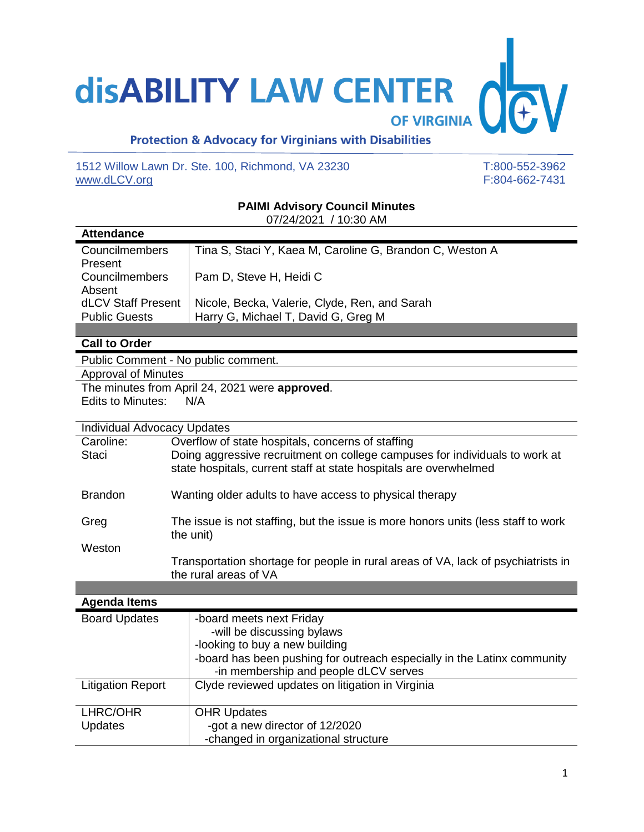## **disABILITY LAW CENTER**

OF VIRGINIA

## **Protection & Advocacy for Virginians with Disabilities**

1512 Willow Lawn Dr. Ste. 100, Richmond, VA 23230 T:800-552-3962<br>www.dLCV.org F:804-662-7431 [www.dLCV.org](http://www.dlcv.org/)

## **PAIMI Advisory Council Minutes**

| <b>Attendance</b>     |                                                          |  |
|-----------------------|----------------------------------------------------------|--|
| <b>Councilmembers</b> | Tina S, Staci Y, Kaea M, Caroline G, Brandon C, Weston A |  |
| Present               |                                                          |  |
| Councilmembers        | Pam D, Steve H, Heidi C                                  |  |
| Absent                |                                                          |  |
| dLCV Staff Present    | Nicole, Becka, Valerie, Clyde, Ren, and Sarah            |  |
| <b>Public Guests</b>  | Harry G, Michael T, David G, Greg M                      |  |

## **Call to Order**

Public Comment - No public comment.

Approval of Minutes

The minutes from April 24, 2021 were **approved**. Edits to Minutes: N/A

| <b>Individual Advocacy Updates</b> |                                                                                                                                                  |  |
|------------------------------------|--------------------------------------------------------------------------------------------------------------------------------------------------|--|
| Caroline:                          | Overflow of state hospitals, concerns of staffing                                                                                                |  |
| <b>Staci</b>                       | Doing aggressive recruitment on college campuses for individuals to work at<br>state hospitals, current staff at state hospitals are overwhelmed |  |
| <b>Brandon</b>                     | Wanting older adults to have access to physical therapy                                                                                          |  |
| Greg                               | The issue is not staffing, but the issue is more honors units (less staff to work<br>the unit)                                                   |  |
| Weston                             |                                                                                                                                                  |  |
|                                    | Transportation shortage for people in rural areas of VA, lack of psychiatrists in<br>the rural areas of VA                                       |  |

| <b>Agenda Items</b>        |                                                                                                                                                                                                              |  |
|----------------------------|--------------------------------------------------------------------------------------------------------------------------------------------------------------------------------------------------------------|--|
| <b>Board Updates</b>       | -board meets next Friday<br>-will be discussing bylaws<br>-looking to buy a new building<br>-board has been pushing for outreach especially in the Latinx community<br>-in membership and people dLCV serves |  |
| <b>Litigation Report</b>   | Clyde reviewed updates on litigation in Virginia                                                                                                                                                             |  |
| LHRC/OHR<br><b>Updates</b> | <b>OHR Updates</b><br>-got a new director of 12/2020<br>-changed in organizational structure                                                                                                                 |  |